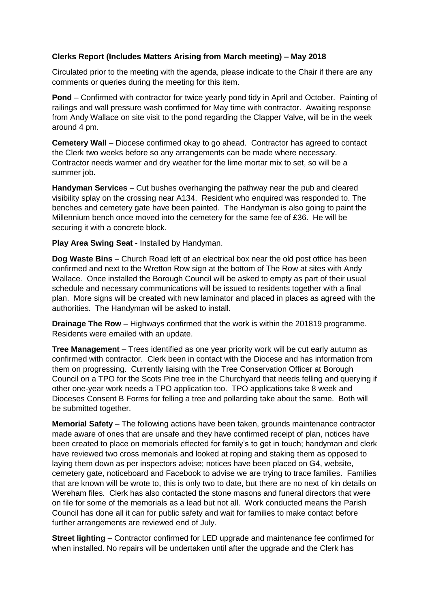## **Clerks Report (Includes Matters Arising from March meeting) – May 2018**

Circulated prior to the meeting with the agenda, please indicate to the Chair if there are any comments or queries during the meeting for this item.

**Pond** – Confirmed with contractor for twice yearly pond tidy in April and October. Painting of railings and wall pressure wash confirmed for May time with contractor. Awaiting response from Andy Wallace on site visit to the pond regarding the Clapper Valve, will be in the week around 4 pm.

**Cemetery Wall** – Diocese confirmed okay to go ahead. Contractor has agreed to contact the Clerk two weeks before so any arrangements can be made where necessary. Contractor needs warmer and dry weather for the lime mortar mix to set, so will be a summer job.

**Handyman Services** – Cut bushes overhanging the pathway near the pub and cleared visibility splay on the crossing near A134. Resident who enquired was responded to. The benches and cemetery gate have been painted. The Handyman is also going to paint the Millennium bench once moved into the cemetery for the same fee of £36. He will be securing it with a concrete block.

**Play Area Swing Seat** - Installed by Handyman.

**Dog Waste Bins** – Church Road left of an electrical box near the old post office has been confirmed and next to the Wretton Row sign at the bottom of The Row at sites with Andy Wallace. Once installed the Borough Council will be asked to empty as part of their usual schedule and necessary communications will be issued to residents together with a final plan. More signs will be created with new laminator and placed in places as agreed with the authorities. The Handyman will be asked to install.

**Drainage The Row** – Highways confirmed that the work is within the 201819 programme. Residents were emailed with an update.

**Tree Management** – Trees identified as one year priority work will be cut early autumn as confirmed with contractor. Clerk been in contact with the Diocese and has information from them on progressing. Currently liaising with the Tree Conservation Officer at Borough Council on a TPO for the Scots Pine tree in the Churchyard that needs felling and querying if other one-year work needs a TPO application too. TPO applications take 8 week and Dioceses Consent B Forms for felling a tree and pollarding take about the same. Both will be submitted together.

**Memorial Safety** – The following actions have been taken, grounds maintenance contractor made aware of ones that are unsafe and they have confirmed receipt of plan, notices have been created to place on memorials effected for family's to get in touch; handyman and clerk have reviewed two cross memorials and looked at roping and staking them as opposed to laying them down as per inspectors advise; notices have been placed on G4, website, cemetery gate, noticeboard and Facebook to advise we are trying to trace families. Families that are known will be wrote to, this is only two to date, but there are no next of kin details on Wereham files. Clerk has also contacted the stone masons and funeral directors that were on file for some of the memorials as a lead but not all. Work conducted means the Parish Council has done all it can for public safety and wait for families to make contact before further arrangements are reviewed end of July.

**Street lighting** – Contractor confirmed for LED upgrade and maintenance fee confirmed for when installed. No repairs will be undertaken until after the upgrade and the Clerk has